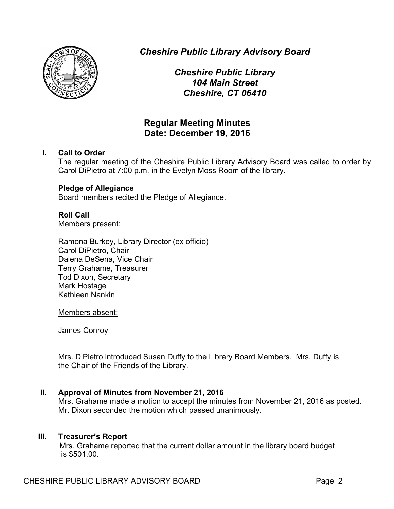

*Cheshire Public Library Advisory Board*

*Cheshire Public Library 104 Main Street Cheshire, CT 06410*

# **Regular Meeting Minutes Date: December 19, 2016**

### **I. Call to Order**

The regular meeting of the Cheshire Public Library Advisory Board was called to order by Carol DiPietro at 7:00 p.m. in the Evelyn Moss Room of the library.

### **Pledge of Allegiance**

Board members recited the Pledge of Allegiance.

## **Roll Call**

Members present:

Ramona Burkey, Library Director (ex officio) Carol DiPietro, Chair Dalena DeSena, Vice Chair Terry Grahame, Treasurer Tod Dixon, Secretary Mark Hostage Kathleen Nankin

Members absent:

James Conroy

Mrs. DiPietro introduced Susan Duffy to the Library Board Members. Mrs. Duffy is the Chair of the Friends of the Library.

### **II. Approval of Minutes from November 21, 2016**

Mrs. Grahame made a motion to accept the minutes from November 21, 2016 as posted. Mr. Dixon seconded the motion which passed unanimously.

### **III. Treasurer's Report**

Mrs. Grahame reported that the current dollar amount in the library board budget is \$501.00.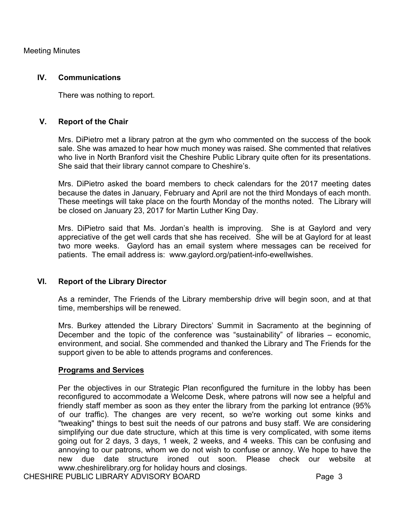Meeting Minutes

#### **IV. Communications**

There was nothing to report.

### **V. Report of the Chair**

Mrs. DiPietro met a library patron at the gym who commented on the success of the book sale. She was amazed to hear how much money was raised. She commented that relatives who live in North Branford visit the Cheshire Public Library quite often for its presentations. She said that their library cannot compare to Cheshire's.

Mrs. DiPietro asked the board members to check calendars for the 2017 meeting dates because the dates in January, February and April are not the third Mondays of each month. These meetings will take place on the fourth Monday of the months noted. The Library will be closed on January 23, 2017 for Martin Luther King Day.

Mrs. DiPietro said that Ms. Jordan's health is improving. She is at Gaylord and very appreciative of the get well cards that she has received. She will be at Gaylord for at least two more weeks. Gaylord has an email system where messages can be received for patients. The email address is: www.gaylord.org/patient-info-ewellwishes.

#### **VI. Report of the Library Director**

As a reminder, The Friends of the Library membership drive will begin soon, and at that time, memberships will be renewed.

Mrs. Burkey attended the Library Directors' Summit in Sacramento at the beginning of December and the topic of the conference was "sustainability" of libraries – economic, environment, and social. She commended and thanked the Library and The Friends for the support given to be able to attends programs and conferences.

### **Programs and Services**

Per the objectives in our Strategic Plan reconfigured the furniture in the lobby has been reconfigured to accommodate a Welcome Desk, where patrons will now see a helpful and friendly staff member as soon as they enter the library from the parking lot entrance (95% of our traffic). The changes are very recent, so we're working out some kinks and "tweaking" things to best suit the needs of our patrons and busy staff. We are considering simplifying our due date structure, which at this time is very complicated, with some items going out for 2 days, 3 days, 1 week, 2 weeks, and 4 weeks. This can be confusing and annoying to our patrons, whom we do not wish to confuse or annoy. We hope to have the new due date structure ironed out soon. Please check our website at www.cheshirelibrary.org for holiday hours and closings.

CHESHIRE PUBLIC LIBRARY ADVISORY BOARD FRAGE 3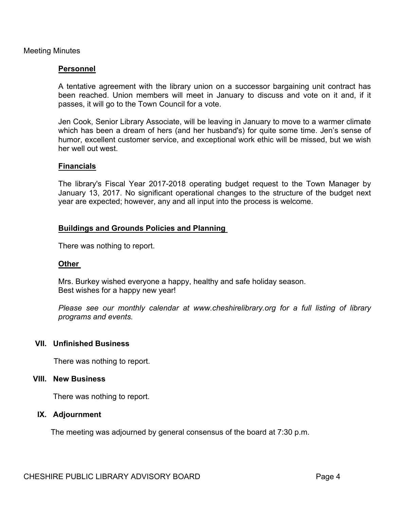Meeting Minutes

### **Personnel**

A tentative agreement with the library union on a successor bargaining unit contract has been reached. Union members will meet in January to discuss and vote on it and, if it passes, it will go to the Town Council for a vote.

Jen Cook, Senior Library Associate, will be leaving in January to move to a warmer climate which has been a dream of hers (and her husband's) for quite some time. Jen's sense of humor, excellent customer service, and exceptional work ethic will be missed, but we wish her well out west.

#### **Financials**

The library's Fiscal Year 2017-2018 operating budget request to the Town Manager by January 13, 2017. No significant operational changes to the structure of the budget next year are expected; however, any and all input into the process is welcome.

#### **Buildings and Grounds Policies and Planning**

There was nothing to report.

#### **Other**

Mrs. Burkey wished everyone a happy, healthy and safe holiday season. Best wishes for a happy new year!

*Please see our monthly calendar at www.cheshirelibrary.org for a full listing of library programs and events.*

#### **VII. Unfinished Business**

There was nothing to report.

#### **VIII. New Business**

There was nothing to report.

#### **IX. Adjournment**

The meeting was adjourned by general consensus of the board at 7:30 p.m.